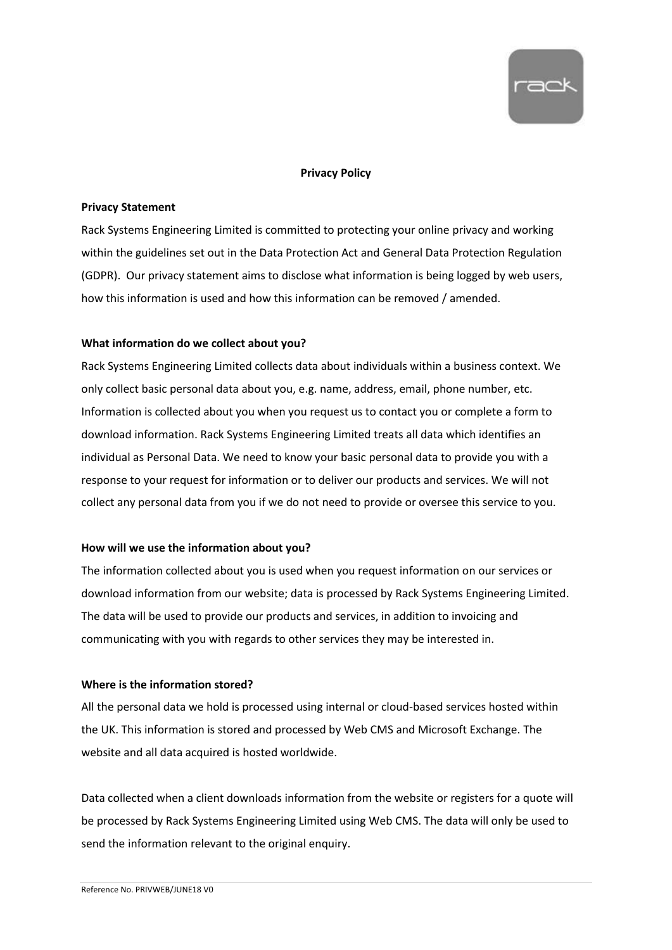

## **Privacy Policy**

### **Privacy Statement**

Rack Systems Engineering Limited is committed to protecting your online privacy and working within the guidelines set out in the Data Protection Act and General Data Protection Regulation (GDPR). Our privacy statement aims to disclose what information is being logged by web users, how this information is used and how this information can be removed / amended.

## **What information do we collect about you?**

Rack Systems Engineering Limited collects data about individuals within a business context. We only collect basic personal data about you, e.g. name, address, email, phone number, etc. Information is collected about you when you request us to contact you or complete a form to download information. Rack Systems Engineering Limited treats all data which identifies an individual as Personal Data. We need to know your basic personal data to provide you with a response to your request for information or to deliver our products and services. We will not collect any personal data from you if we do not need to provide or oversee this service to you.

### **How will we use the information about you?**

The information collected about you is used when you request information on our services or download information from our website; data is processed by Rack Systems Engineering Limited. The data will be used to provide our products and services, in addition to invoicing and communicating with you with regards to other services they may be interested in.

# **Where is the information stored?**

All the personal data we hold is processed using internal or cloud-based services hosted within the UK. This information is stored and processed by Web CMS and Microsoft Exchange. The website and all data acquired is hosted worldwide.

Data collected when a client downloads information from the website or registers for a quote will be processed by Rack Systems Engineering Limited using Web CMS. The data will only be used to send the information relevant to the original enquiry.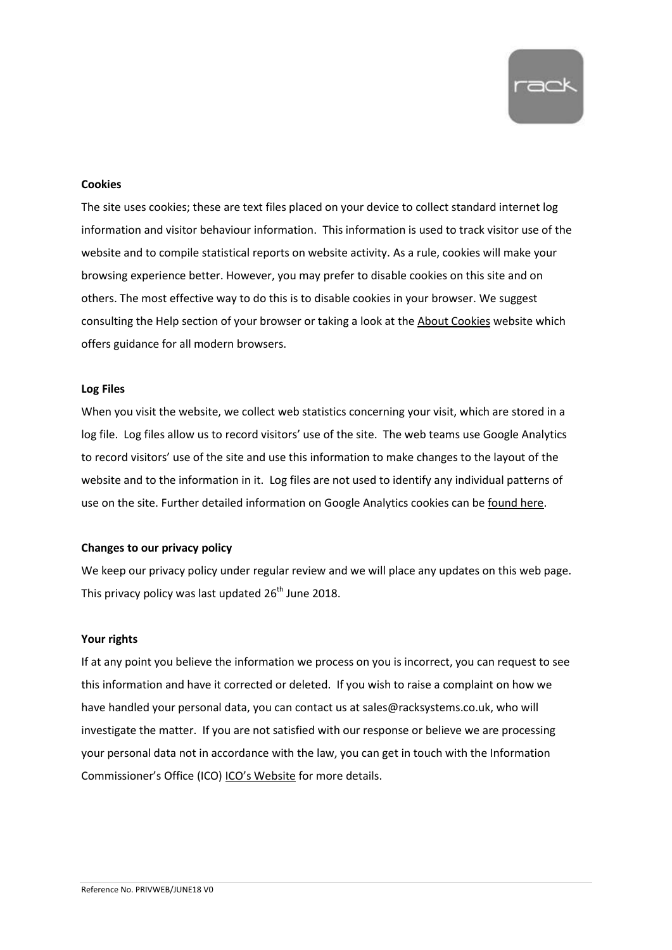

### **Cookies**

The site uses cookies; these are text files placed on your device to collect standard internet log information and visitor behaviour information. This information is used to track visitor use of the website and to compile statistical reports on website activity. As a rule, cookies will make your browsing experience better. However, you may prefer to disable cookies on this site and on others. The most effective way to do this is to disable cookies in your browser. We suggest consulting the Help section of your browser or taking a look at the [About Cookies](https://www.aboutcookies.org/) website which offers guidance for all modern browsers.

### **Log Files**

When you visit the website, we collect web statistics concerning your visit, which are stored in a log file. Log files allow us to record visitors' use of the site. The web teams use Google Analytics to record visitors' use of the site and use this information to make changes to the layout of the website and to the information in it. Log files are not used to identify any individual patterns of use on the site. Further detailed information on Google Analytics cookies can be [found here.](https://developers.google.com/analytics/devguides/collection/analyticsjs/cookie-usage)

# **Changes to our privacy policy**

We keep our privacy policy under regular review and we will place any updates on this web page. This privacy policy was last updated  $26^{\text{th}}$  June 2018.

### **Your rights**

If at any point you believe the information we process on you is incorrect, you can request to see this information and have it corrected or deleted. If you wish to raise a complaint on how we have handled your personal data, you can contact us at sales@racksystems.co.uk, who will investigate the matter. If you are not satisfied with our response or believe we are processing your personal data not in accordance with the law, you can get in touch with the Information Commissioner's Office (ICO) ICO's [Website](https://ico.org.uk/) for more details.